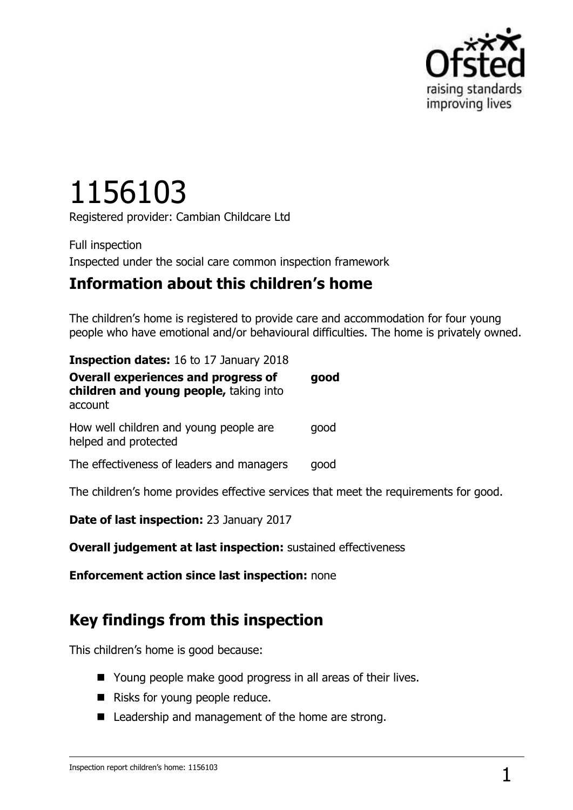

# 1156103

Registered provider: Cambian Childcare Ltd

Full inspection Inspected under the social care common inspection framework

## **Information about this children's home**

The children's home is registered to provide care and accommodation for four young people who have emotional and/or behavioural difficulties. The home is privately owned.

| <b>Inspection dates:</b> 16 to 17 January 2018                                                  |      |  |
|-------------------------------------------------------------------------------------------------|------|--|
| <b>Overall experiences and progress of</b><br>children and young people, taking into<br>account | qood |  |
| How well children and young people are<br>helped and protected                                  | qood |  |
| The effectiveness of leaders and managers                                                       | qood |  |

The children's home provides effective services that meet the requirements for good.

**Date of last inspection:** 23 January 2017

**Overall judgement at last inspection:** sustained effectiveness

**Enforcement action since last inspection:** none

## **Key findings from this inspection**

This children's home is good because:

- Young people make good progress in all areas of their lives.
- Risks for young people reduce.
- Leadership and management of the home are strong.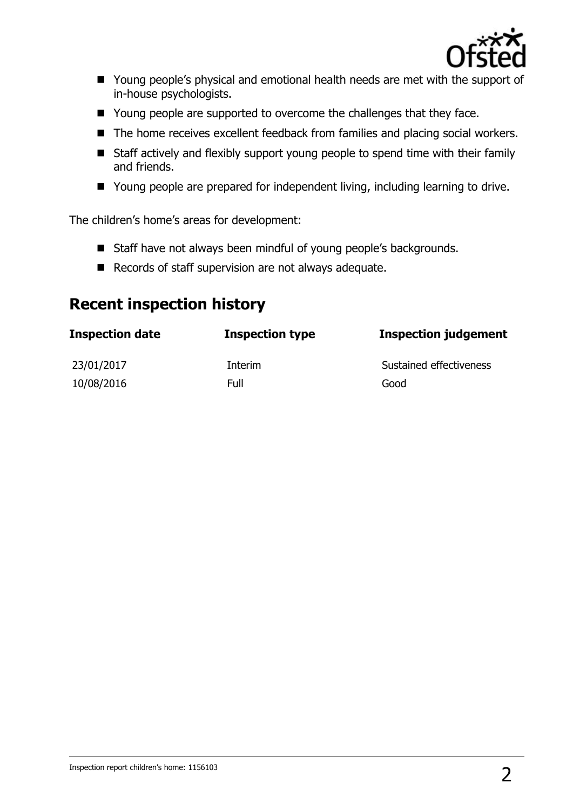

- Young people's physical and emotional health needs are met with the support of in-house psychologists.
- Young people are supported to overcome the challenges that they face.
- The home receives excellent feedback from families and placing social workers.
- Staff actively and flexibly support young people to spend time with their family and friends.
- Young people are prepared for independent living, including learning to drive.

The children's home's areas for development:

- Staff have not always been mindful of young people's backgrounds.
- Records of staff supervision are not always adequate.

## **Recent inspection history**

| <b>Inspection date</b> | <b>Inspection type</b> | <b>Inspection judgement</b> |
|------------------------|------------------------|-----------------------------|
| 23/01/2017             | Interim                | Sustained effectiveness     |
| 10/08/2016             | Full                   | Good                        |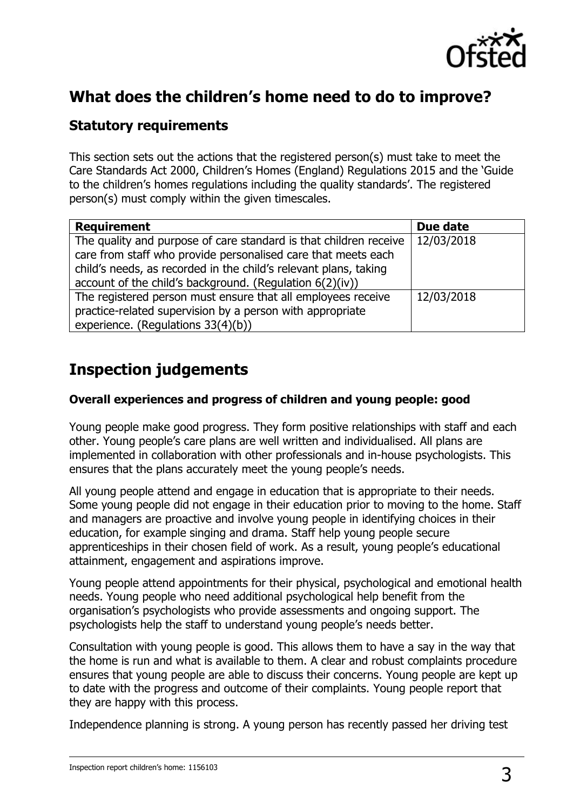

# **What does the children's home need to do to improve?**

### **Statutory requirements**

This section sets out the actions that the registered person(s) must take to meet the Care Standards Act 2000, Children's Homes (England) Regulations 2015 and the 'Guide to the children's homes regulations including the quality standards'. The registered person(s) must comply within the given timescales.

| <b>Requirement</b>                                                | Due date   |
|-------------------------------------------------------------------|------------|
| The quality and purpose of care standard is that children receive | 12/03/2018 |
| care from staff who provide personalised care that meets each     |            |
| child's needs, as recorded in the child's relevant plans, taking  |            |
| account of the child's background. (Regulation 6(2)(iv))          |            |
| The registered person must ensure that all employees receive      | 12/03/2018 |
| practice-related supervision by a person with appropriate         |            |
| experience. (Regulations 33(4)(b))                                |            |

# **Inspection judgements**

#### **Overall experiences and progress of children and young people: good**

Young people make good progress. They form positive relationships with staff and each other. Young people's care plans are well written and individualised. All plans are implemented in collaboration with other professionals and in-house psychologists. This ensures that the plans accurately meet the young people's needs.

All young people attend and engage in education that is appropriate to their needs. Some young people did not engage in their education prior to moving to the home. Staff and managers are proactive and involve young people in identifying choices in their education, for example singing and drama. Staff help young people secure apprenticeships in their chosen field of work. As a result, young people's educational attainment, engagement and aspirations improve.

Young people attend appointments for their physical, psychological and emotional health needs. Young people who need additional psychological help benefit from the organisation's psychologists who provide assessments and ongoing support. The psychologists help the staff to understand young people's needs better.

Consultation with young people is good. This allows them to have a say in the way that the home is run and what is available to them. A clear and robust complaints procedure ensures that young people are able to discuss their concerns. Young people are kept up to date with the progress and outcome of their complaints. Young people report that they are happy with this process.

Independence planning is strong. A young person has recently passed her driving test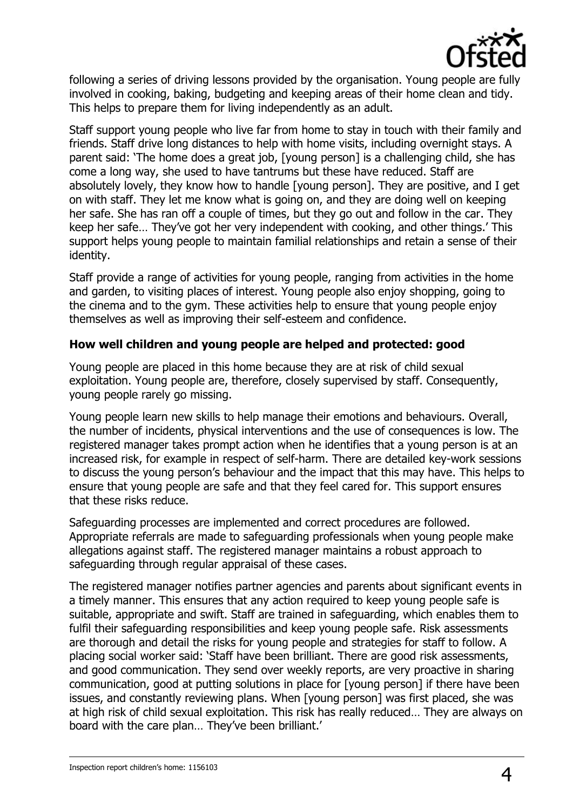

following a series of driving lessons provided by the organisation. Young people are fully involved in cooking, baking, budgeting and keeping areas of their home clean and tidy. This helps to prepare them for living independently as an adult.

Staff support young people who live far from home to stay in touch with their family and friends. Staff drive long distances to help with home visits, including overnight stays. A parent said: 'The home does a great job, [young person] is a challenging child, she has come a long way, she used to have tantrums but these have reduced. Staff are absolutely lovely, they know how to handle [young person]. They are positive, and I get on with staff. They let me know what is going on, and they are doing well on keeping her safe. She has ran off a couple of times, but they go out and follow in the car. They keep her safe… They've got her very independent with cooking, and other things.' This support helps young people to maintain familial relationships and retain a sense of their identity.

Staff provide a range of activities for young people, ranging from activities in the home and garden, to visiting places of interest. Young people also enjoy shopping, going to the cinema and to the gym. These activities help to ensure that young people enjoy themselves as well as improving their self-esteem and confidence.

#### **How well children and young people are helped and protected: good**

Young people are placed in this home because they are at risk of child sexual exploitation. Young people are, therefore, closely supervised by staff. Consequently, young people rarely go missing.

Young people learn new skills to help manage their emotions and behaviours. Overall, the number of incidents, physical interventions and the use of consequences is low. The registered manager takes prompt action when he identifies that a young person is at an increased risk, for example in respect of self-harm. There are detailed key-work sessions to discuss the young person's behaviour and the impact that this may have. This helps to ensure that young people are safe and that they feel cared for. This support ensures that these risks reduce.

Safeguarding processes are implemented and correct procedures are followed. Appropriate referrals are made to safeguarding professionals when young people make allegations against staff. The registered manager maintains a robust approach to safeguarding through regular appraisal of these cases.

The registered manager notifies partner agencies and parents about significant events in a timely manner. This ensures that any action required to keep young people safe is suitable, appropriate and swift. Staff are trained in safeguarding, which enables them to fulfil their safeguarding responsibilities and keep young people safe. Risk assessments are thorough and detail the risks for young people and strategies for staff to follow. A placing social worker said: 'Staff have been brilliant. There are good risk assessments, and good communication. They send over weekly reports, are very proactive in sharing communication, good at putting solutions in place for [young person] if there have been issues, and constantly reviewing plans. When [young person] was first placed, she was at high risk of child sexual exploitation. This risk has really reduced… They are always on board with the care plan… They've been brilliant.'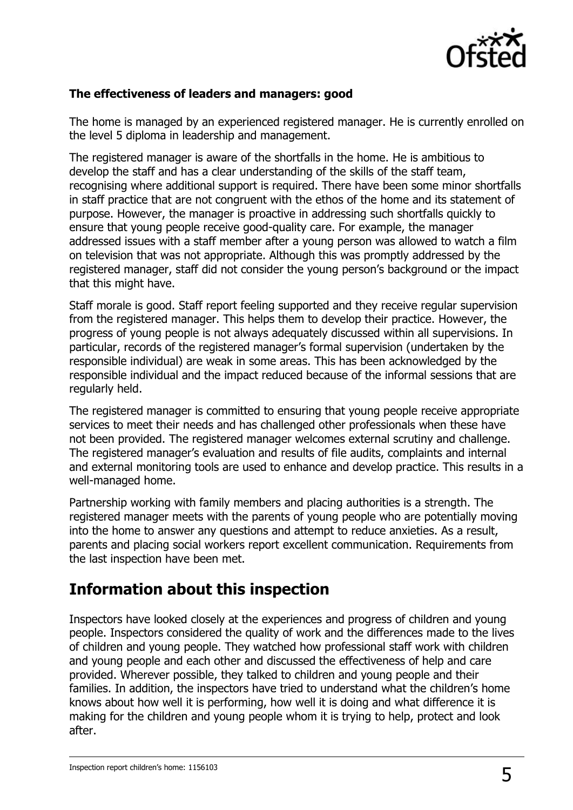

#### **The effectiveness of leaders and managers: good**

The home is managed by an experienced registered manager. He is currently enrolled on the level 5 diploma in leadership and management.

The registered manager is aware of the shortfalls in the home. He is ambitious to develop the staff and has a clear understanding of the skills of the staff team, recognising where additional support is required. There have been some minor shortfalls in staff practice that are not congruent with the ethos of the home and its statement of purpose. However, the manager is proactive in addressing such shortfalls quickly to ensure that young people receive good-quality care. For example, the manager addressed issues with a staff member after a young person was allowed to watch a film on television that was not appropriate. Although this was promptly addressed by the registered manager, staff did not consider the young person's background or the impact that this might have.

Staff morale is good. Staff report feeling supported and they receive regular supervision from the registered manager. This helps them to develop their practice. However, the progress of young people is not always adequately discussed within all supervisions. In particular, records of the registered manager's formal supervision (undertaken by the responsible individual) are weak in some areas. This has been acknowledged by the responsible individual and the impact reduced because of the informal sessions that are regularly held.

The registered manager is committed to ensuring that young people receive appropriate services to meet their needs and has challenged other professionals when these have not been provided. The registered manager welcomes external scrutiny and challenge. The registered manager's evaluation and results of file audits, complaints and internal and external monitoring tools are used to enhance and develop practice. This results in a well-managed home.

Partnership working with family members and placing authorities is a strength. The registered manager meets with the parents of young people who are potentially moving into the home to answer any questions and attempt to reduce anxieties. As a result, parents and placing social workers report excellent communication. Requirements from the last inspection have been met.

## **Information about this inspection**

Inspectors have looked closely at the experiences and progress of children and young people. Inspectors considered the quality of work and the differences made to the lives of children and young people. They watched how professional staff work with children and young people and each other and discussed the effectiveness of help and care provided. Wherever possible, they talked to children and young people and their families. In addition, the inspectors have tried to understand what the children's home knows about how well it is performing, how well it is doing and what difference it is making for the children and young people whom it is trying to help, protect and look after.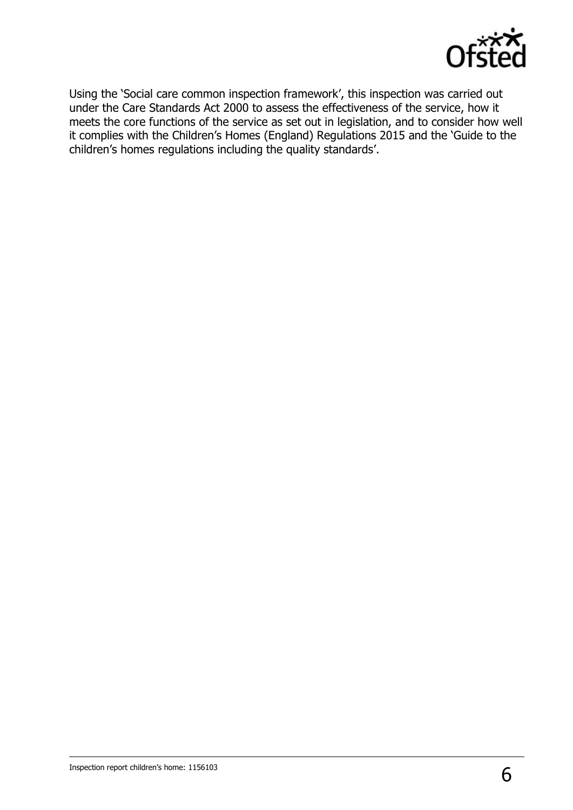

Using the 'Social care common inspection framework', this inspection was carried out under the Care Standards Act 2000 to assess the effectiveness of the service, how it meets the core functions of the service as set out in legislation, and to consider how well it complies with the Children's Homes (England) Regulations 2015 and the 'Guide to the children's homes regulations including the quality standards'.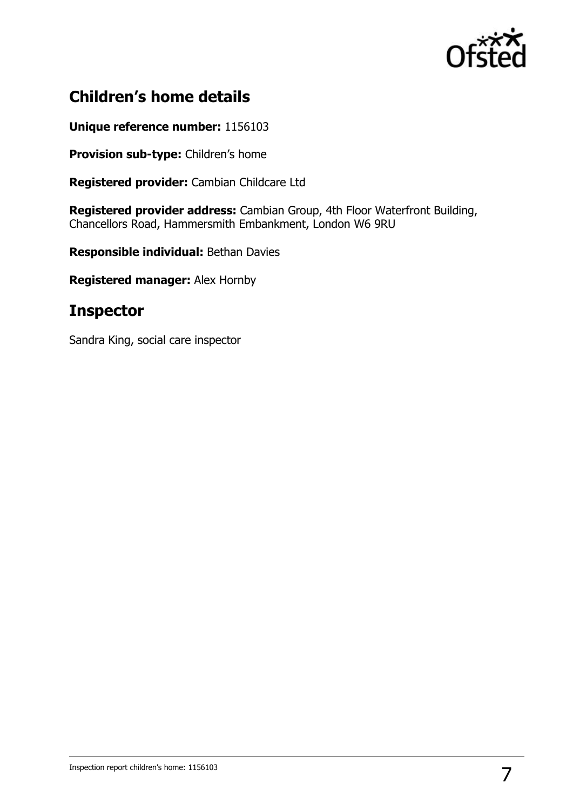

# **Children's home details**

**Unique reference number:** 1156103

**Provision sub-type:** Children's home

**Registered provider:** Cambian Childcare Ltd

**Registered provider address:** Cambian Group, 4th Floor Waterfront Building, Chancellors Road, Hammersmith Embankment, London W6 9RU

**Responsible individual:** Bethan Davies

**Registered manager:** Alex Hornby

## **Inspector**

Sandra King, social care inspector